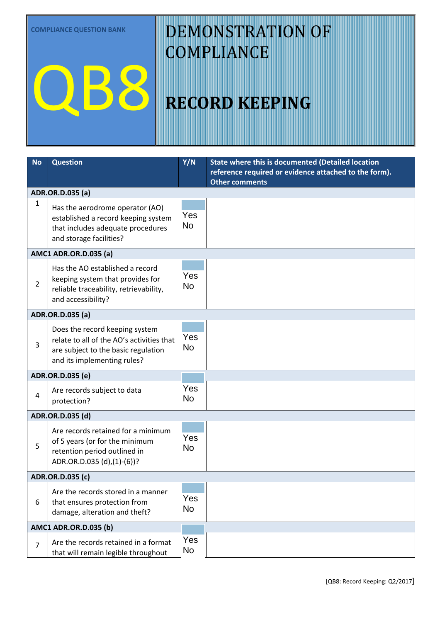**COMPLIANCE QUESTION BANK**

QB8

# DEMONSTRATION OF **COMPLIANCE**

# **RECORD KEEPING**

| <b>No</b>                    | <b>Question</b>                                                     | Y/N       | <b>State where this is documented (Detailed location</b><br>reference required or evidence attached to the form). |  |  |  |
|------------------------------|---------------------------------------------------------------------|-----------|-------------------------------------------------------------------------------------------------------------------|--|--|--|
|                              |                                                                     |           | <b>Other comments</b>                                                                                             |  |  |  |
|                              | ADR.OR.D.035 (a)                                                    |           |                                                                                                                   |  |  |  |
| 1                            | Has the aerodrome operator (AO)                                     |           |                                                                                                                   |  |  |  |
|                              | established a record keeping system                                 | Yes       |                                                                                                                   |  |  |  |
|                              | that includes adequate procedures                                   | <b>No</b> |                                                                                                                   |  |  |  |
|                              | and storage facilities?                                             |           |                                                                                                                   |  |  |  |
|                              | <b>AMC1 ADR.OR.D.035 (a)</b>                                        |           |                                                                                                                   |  |  |  |
|                              | Has the AO established a record<br>keeping system that provides for |           |                                                                                                                   |  |  |  |
|                              |                                                                     | Yes       |                                                                                                                   |  |  |  |
| $\overline{2}$               | reliable traceability, retrievability,                              | <b>No</b> |                                                                                                                   |  |  |  |
|                              | and accessibility?                                                  |           |                                                                                                                   |  |  |  |
|                              | ADR.OR.D.035 (a)                                                    |           |                                                                                                                   |  |  |  |
|                              | Does the record keeping system                                      |           |                                                                                                                   |  |  |  |
| 3                            | relate to all of the AO's activities that                           | Yes       |                                                                                                                   |  |  |  |
|                              | are subject to the basic regulation                                 | <b>No</b> |                                                                                                                   |  |  |  |
|                              | and its implementing rules?                                         |           |                                                                                                                   |  |  |  |
| ADR.OR.D.035 (e)             |                                                                     |           |                                                                                                                   |  |  |  |
|                              | Are records subject to data                                         | Yes       |                                                                                                                   |  |  |  |
| 4                            | protection?                                                         | No.       |                                                                                                                   |  |  |  |
|                              | ADR.OR.D.035 (d)                                                    |           |                                                                                                                   |  |  |  |
|                              | Are records retained for a minimum                                  |           |                                                                                                                   |  |  |  |
|                              | of 5 years (or for the minimum                                      | Yes       |                                                                                                                   |  |  |  |
| 5                            | retention period outlined in                                        | <b>No</b> |                                                                                                                   |  |  |  |
|                              | ADR.OR.D.035 (d),(1)-(6))?                                          |           |                                                                                                                   |  |  |  |
| ADR.OR.D.035 (c)             |                                                                     |           |                                                                                                                   |  |  |  |
|                              | Are the records stored in a manner                                  |           |                                                                                                                   |  |  |  |
| 6                            | that ensures protection from                                        | Yes       |                                                                                                                   |  |  |  |
|                              | damage, alteration and theft?                                       | <b>No</b> |                                                                                                                   |  |  |  |
| <b>AMC1 ADR.OR.D.035 (b)</b> |                                                                     |           |                                                                                                                   |  |  |  |
| $\overline{7}$               | Are the records retained in a format                                | Yes       |                                                                                                                   |  |  |  |
|                              | that will remain legible throughout                                 | No        |                                                                                                                   |  |  |  |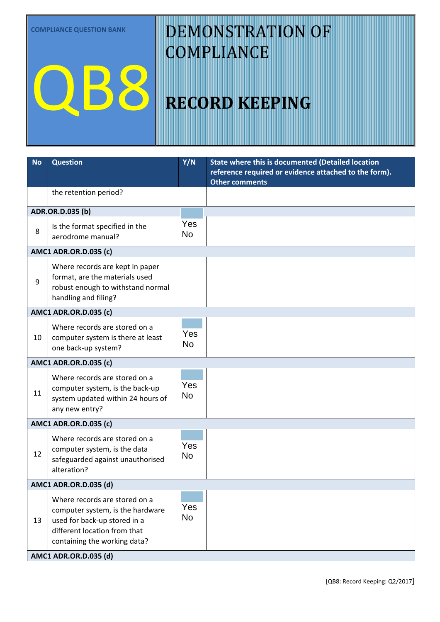**COMPLIANCE QUESTION BANK**

QB8

# DEMONSTRATION OF **COMPLIANCE**

#### **RECORD KEEPING**

| <b>No</b>                    | <b>Question</b>                                                                                                                                                   | Y/N                     | <b>State where this is documented (Detailed location</b><br>reference required or evidence attached to the form).<br><b>Other comments</b> |  |  |  |
|------------------------------|-------------------------------------------------------------------------------------------------------------------------------------------------------------------|-------------------------|--------------------------------------------------------------------------------------------------------------------------------------------|--|--|--|
|                              | the retention period?                                                                                                                                             |                         |                                                                                                                                            |  |  |  |
| ADR.OR.D.035 (b)             |                                                                                                                                                                   |                         |                                                                                                                                            |  |  |  |
| 8                            | Is the format specified in the<br>aerodrome manual?                                                                                                               | Yes<br>No               |                                                                                                                                            |  |  |  |
| <b>AMC1 ADR.OR.D.035 (c)</b> |                                                                                                                                                                   |                         |                                                                                                                                            |  |  |  |
| 9                            | Where records are kept in paper<br>format, are the materials used<br>robust enough to withstand normal<br>handling and filing?                                    | Yes<br><b>No</b>        |                                                                                                                                            |  |  |  |
| <b>AMC1 ADR.OR.D.035 (c)</b> |                                                                                                                                                                   |                         |                                                                                                                                            |  |  |  |
| 10                           | Where records are stored on a<br>computer system is there at least<br>one back-up system?                                                                         | <b>Yes</b><br><b>No</b> |                                                                                                                                            |  |  |  |
|                              | <b>AMC1 ADR.OR.D.035 (c)</b>                                                                                                                                      |                         |                                                                                                                                            |  |  |  |
| 11                           | Where records are stored on a<br>computer system, is the back-up<br>system updated within 24 hours of<br>any new entry?                                           | Yes<br><b>No</b>        |                                                                                                                                            |  |  |  |
| <b>AMC1 ADR.OR.D.035 (c)</b> |                                                                                                                                                                   |                         |                                                                                                                                            |  |  |  |
| 12                           | Where records are stored on a<br>computer system, is the data<br>safeguarded against unauthorised<br>alteration?                                                  | Yes<br>No               |                                                                                                                                            |  |  |  |
|                              | <b>AMC1 ADR.OR.D.035 (d)</b>                                                                                                                                      |                         |                                                                                                                                            |  |  |  |
| 13                           | Where records are stored on a<br>computer system, is the hardware<br>used for back-up stored in a<br>different location from that<br>containing the working data? | Yes<br>No               |                                                                                                                                            |  |  |  |
| AMC1 ADR.OR.D.035 (d)        |                                                                                                                                                                   |                         |                                                                                                                                            |  |  |  |